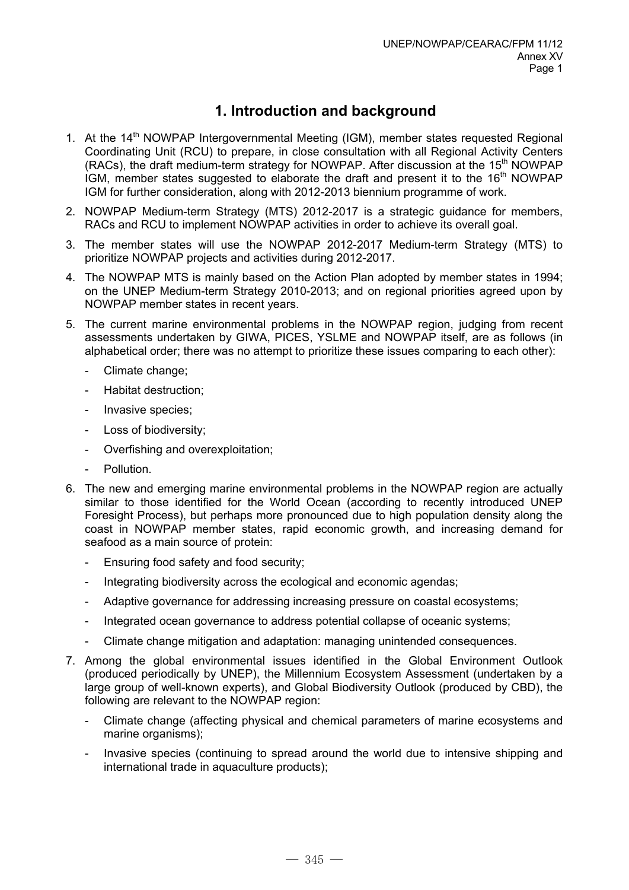# **1. Introduction and background**

- 1. At the 14<sup>th</sup> NOWPAP Intergovernmental Meeting (IGM), member states requested Regional Coordinating Unit (RCU) to prepare, in close consultation with all Regional Activity Centers (RACs), the draft medium-term strategy for NOWPAP. After discussion at the  $15<sup>th</sup>$  NOWPAP IGM, member states suggested to elaborate the draft and present it to the  $16<sup>th</sup>$  NOWPAP IGM for further consideration, along with 2012-2013 biennium programme of work.
- 2. NOWPAP Medium-term Strategy (MTS) 2012-2017 is a strategic guidance for members, RACs and RCU to implement NOWPAP activities in order to achieve its overall goal.
- 3. The member states will use the NOWPAP 2012-2017 Medium-term Strategy (MTS) to prioritize NOWPAP projects and activities during 2012-2017.
- 4. The NOWPAP MTS is mainly based on the Action Plan adopted by member states in 1994; on the UNEP Medium-term Strategy 2010-2013; and on regional priorities agreed upon by NOWPAP member states in recent years.
- 5. The current marine environmental problems in the NOWPAP region, judging from recent assessments undertaken by GIWA, PICES, YSLME and NOWPAP itself, are as follows (in alphabetical order; there was no attempt to prioritize these issues comparing to each other):
	- Climate change;
	- Habitat destruction;
	- Invasive species;
	- Loss of biodiversity:
	- Overfishing and overexploitation;
	- Pollution.
- 6. The new and emerging marine environmental problems in the NOWPAP region are actually similar to those identified for the World Ocean (according to recently introduced UNEP Foresight Process), but perhaps more pronounced due to high population density along the coast in NOWPAP member states, rapid economic growth, and increasing demand for seafood as a main source of protein:
	- Ensuring food safety and food security:
	- Integrating biodiversity across the ecological and economic agendas;
	- Adaptive governance for addressing increasing pressure on coastal ecosystems;
	- Integrated ocean governance to address potential collapse of oceanic systems;
	- Climate change mitigation and adaptation: managing unintended consequences.
- 7. Among the global environmental issues identified in the Global Environment Outlook (produced periodically by UNEP), the Millennium Ecosystem Assessment (undertaken by a large group of well-known experts), and Global Biodiversity Outlook (produced by CBD), the following are relevant to the NOWPAP region:
	- Climate change (affecting physical and chemical parameters of marine ecosystems and marine organisms);
	- Invasive species (continuing to spread around the world due to intensive shipping and international trade in aquaculture products);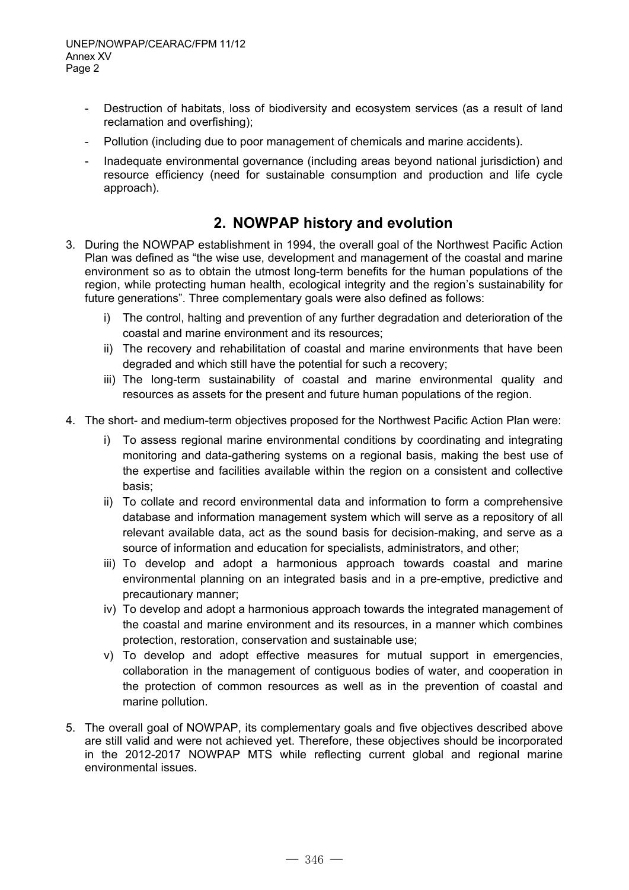- Destruction of habitats, loss of biodiversity and ecosystem services (as a result of land reclamation and overfishing);
- Pollution (including due to poor management of chemicals and marine accidents).
- Inadequate environmental governance (including areas beyond national jurisdiction) and resource efficiency (need for sustainable consumption and production and life cycle approach).

## **2. NOWPAP history and evolution**

- 3. During the NOWPAP establishment in 1994, the overall goal of the Northwest Pacific Action Plan was defined as "the wise use, development and management of the coastal and marine environment so as to obtain the utmost long-term benefits for the human populations of the region, while protecting human health, ecological integrity and the region's sustainability for future generations". Three complementary goals were also defined as follows:
	- i) The control, halting and prevention of any further degradation and deterioration of the coastal and marine environment and its resources;
	- ii) The recovery and rehabilitation of coastal and marine environments that have been degraded and which still have the potential for such a recovery;
	- iii) The long-term sustainability of coastal and marine environmental quality and resources as assets for the present and future human populations of the region.
- 4. The short- and medium-term objectives proposed for the Northwest Pacific Action Plan were:
	- i) To assess regional marine environmental conditions by coordinating and integrating monitoring and data-gathering systems on a regional basis, making the best use of the expertise and facilities available within the region on a consistent and collective basis;
	- ii) To collate and record environmental data and information to form a comprehensive database and information management system which will serve as a repository of all relevant available data, act as the sound basis for decision-making, and serve as a source of information and education for specialists, administrators, and other;
	- iii) To develop and adopt a harmonious approach towards coastal and marine environmental planning on an integrated basis and in a pre-emptive, predictive and precautionary manner;
	- iv) To develop and adopt a harmonious approach towards the integrated management of the coastal and marine environment and its resources, in a manner which combines protection, restoration, conservation and sustainable use;
	- v) To develop and adopt effective measures for mutual support in emergencies, collaboration in the management of contiguous bodies of water, and cooperation in the protection of common resources as well as in the prevention of coastal and marine pollution.
- 5. The overall goal of NOWPAP, its complementary goals and five objectives described above are still valid and were not achieved yet. Therefore, these objectives should be incorporated in the 2012-2017 NOWPAP MTS while reflecting current global and regional marine environmental issues.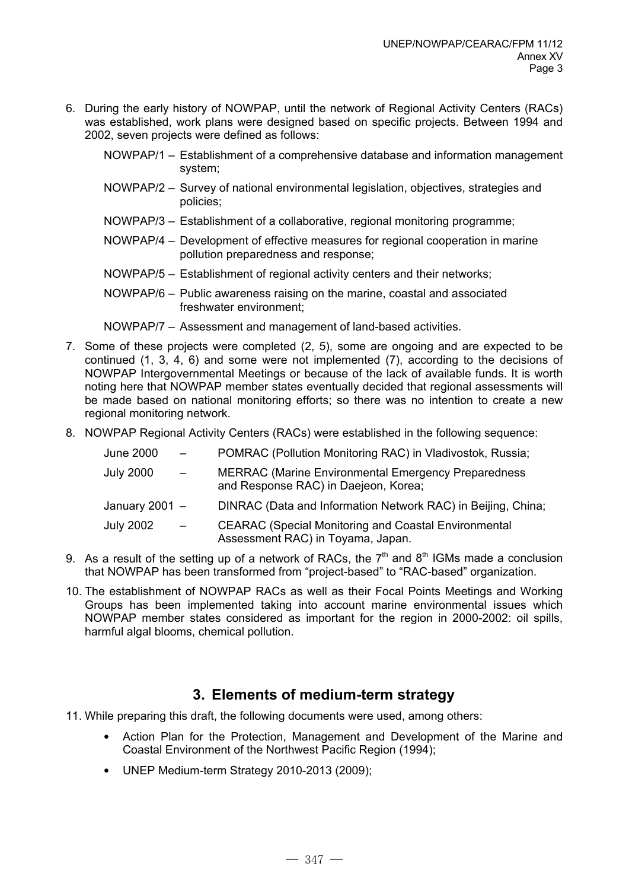6. During the early history of NOWPAP, until the network of Regional Activity Centers (RACs) was established, work plans were designed based on specific projects. Between 1994 and 2002, seven projects were defined as follows:

NOWPAP/1 – Establishment of a comprehensive database and information management system;

- NOWPAP/2 Survey of national environmental legislation, objectives, strategies and policies;
- NOWPAP/3 Establishment of a collaborative, regional monitoring programme;
- NOWPAP/4 Development of effective measures for regional cooperation in marine pollution preparedness and response;
- NOWPAP/5 Establishment of regional activity centers and their networks;
- NOWPAP/6 Public awareness raising on the marine, coastal and associated freshwater environment;

NOWPAP/7 – Assessment and management of land-based activities.

- 7. Some of these projects were completed (2, 5), some are ongoing and are expected to be continued (1, 3, 4, 6) and some were not implemented (7), according to the decisions of NOWPAP Intergovernmental Meetings or because of the lack of available funds. It is worth noting here that NOWPAP member states eventually decided that regional assessments will be made based on national monitoring efforts; so there was no intention to create a new regional monitoring network.
- 8. NOWPAP Regional Activity Centers (RACs) were established in the following sequence:

| June 2000        | $\sim$ $-$               | POMRAC (Pollution Monitoring RAC) in Vladivostok, Russia;                                          |
|------------------|--------------------------|----------------------------------------------------------------------------------------------------|
| <b>July 2000</b> | $\overline{\phantom{0}}$ | <b>MERRAC (Marine Environmental Emergency Preparedness</b><br>and Response RAC) in Daejeon, Korea; |
| January 2001 $-$ |                          | DINRAC (Data and Information Network RAC) in Beijing, China;                                       |
| <b>July 2002</b> | $\sim$ $ \sim$           | <b>CEARAC (Special Monitoring and Coastal Environmental</b><br>Assessment RAC) in Toyama, Japan.   |

- 9. As a result of the setting up of a network of RACs, the  $7<sup>th</sup>$  and  $8<sup>th</sup>$  IGMs made a conclusion that NOWPAP has been transformed from "project-based" to "RAC-based" organization.
- 10. The establishment of NOWPAP RACs as well as their Focal Points Meetings and Working Groups has been implemented taking into account marine environmental issues which NOWPAP member states considered as important for the region in 2000-2002: oil spills, harmful algal blooms, chemical pollution.

## **3. Elements of medium-term strategy**

- 11. While preparing this draft, the following documents were used, among others:
	- Action Plan for the Protection, Management and Development of the Marine and Coastal Environment of the Northwest Pacific Region (1994);
	- UNEP Medium-term Strategy 2010-2013 (2009);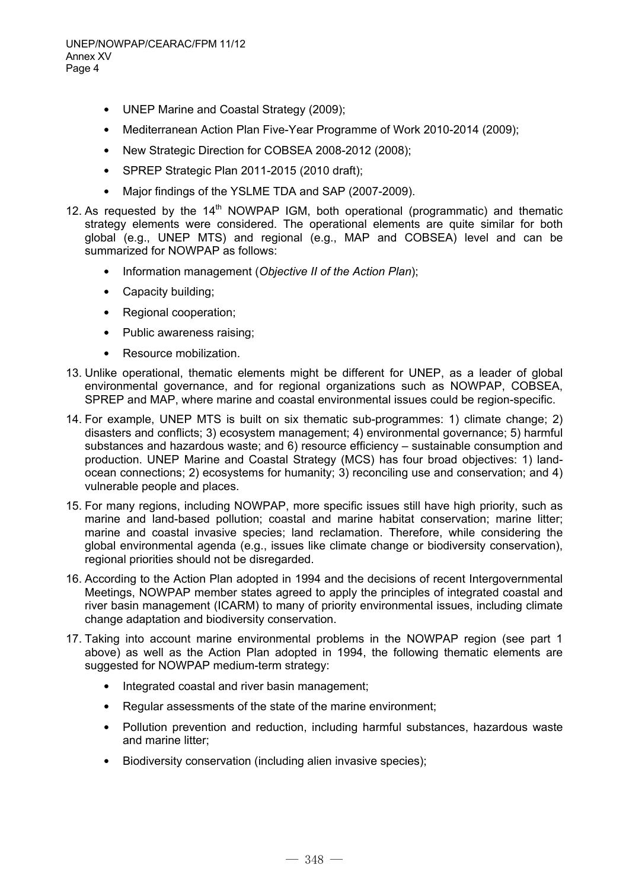- UNEP Marine and Coastal Strategy (2009);
- Mediterranean Action Plan Five-Year Programme of Work 2010-2014 (2009);
- New Strategic Direction for COBSEA 2008-2012 (2008);
- SPREP Strategic Plan 2011-2015 (2010 draft);
- Major findings of the YSLME TDA and SAP (2007-2009).
- 12. As requested by the  $14<sup>th</sup>$  NOWPAP IGM, both operational (programmatic) and thematic strategy elements were considered. The operational elements are quite similar for both global (e.g., UNEP MTS) and regional (e.g., MAP and COBSEA) level and can be summarized for NOWPAP as follows:
	- Information management (*Objective II of the Action Plan*);
	- Capacity building;
	- Regional cooperation;
	- Public awareness raising;
	- Resource mobilization.
- 13. Unlike operational, thematic elements might be different for UNEP, as a leader of global environmental governance, and for regional organizations such as NOWPAP, COBSEA, SPREP and MAP, where marine and coastal environmental issues could be region-specific.
- 14. For example, UNEP MTS is built on six thematic sub-programmes: 1) climate change; 2) disasters and conflicts; 3) ecosystem management; 4) environmental governance; 5) harmful substances and hazardous waste; and 6) resource efficiency – sustainable consumption and production. UNEP Marine and Coastal Strategy (MCS) has four broad objectives: 1) landocean connections; 2) ecosystems for humanity; 3) reconciling use and conservation; and 4) vulnerable people and places.
- 15. For many regions, including NOWPAP, more specific issues still have high priority, such as marine and land-based pollution; coastal and marine habitat conservation; marine litter; marine and coastal invasive species; land reclamation. Therefore, while considering the global environmental agenda (e.g., issues like climate change or biodiversity conservation), regional priorities should not be disregarded.
- 16. According to the Action Plan adopted in 1994 and the decisions of recent Intergovernmental Meetings, NOWPAP member states agreed to apply the principles of integrated coastal and river basin management (ICARM) to many of priority environmental issues, including climate change adaptation and biodiversity conservation.
- 17. Taking into account marine environmental problems in the NOWPAP region (see part 1 above) as well as the Action Plan adopted in 1994, the following thematic elements are suggested for NOWPAP medium-term strategy:
	- Integrated coastal and river basin management;
	- Regular assessments of the state of the marine environment;
	- Pollution prevention and reduction, including harmful substances, hazardous waste and marine litter;
	- Biodiversity conservation (including alien invasive species);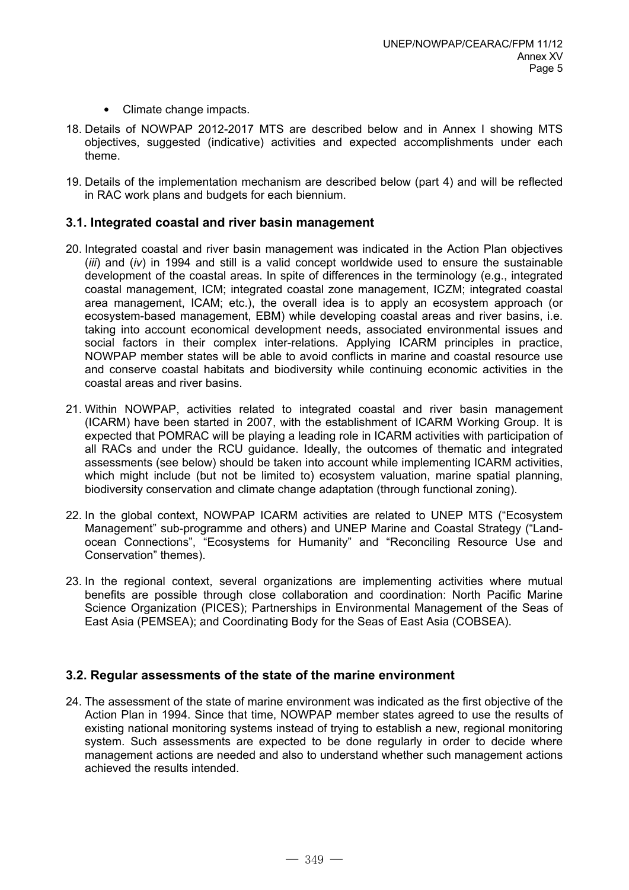- Climate change impacts.
- 18. Details of NOWPAP 2012-2017 MTS are described below and in Annex I showing MTS objectives, suggested (indicative) activities and expected accomplishments under each theme.
- 19. Details of the implementation mechanism are described below (part 4) and will be reflected in RAC work plans and budgets for each biennium.

### **3.1. Integrated coastal and river basin management**

- 20. Integrated coastal and river basin management was indicated in the Action Plan objectives (*iii*) and (*iv*) in 1994 and still is a valid concept worldwide used to ensure the sustainable development of the coastal areas. In spite of differences in the terminology (e.g., integrated coastal management, ICM; integrated coastal zone management, ICZM; integrated coastal area management, ICAM; etc.), the overall idea is to apply an ecosystem approach (or ecosystem-based management, EBM) while developing coastal areas and river basins, i.e. taking into account economical development needs, associated environmental issues and social factors in their complex inter-relations. Applying ICARM principles in practice, NOWPAP member states will be able to avoid conflicts in marine and coastal resource use and conserve coastal habitats and biodiversity while continuing economic activities in the coastal areas and river basins.
- 21. Within NOWPAP, activities related to integrated coastal and river basin management (ICARM) have been started in 2007, with the establishment of ICARM Working Group. It is expected that POMRAC will be playing a leading role in ICARM activities with participation of all RACs and under the RCU guidance. Ideally, the outcomes of thematic and integrated assessments (see below) should be taken into account while implementing ICARM activities, which might include (but not be limited to) ecosystem valuation, marine spatial planning, biodiversity conservation and climate change adaptation (through functional zoning).
- 22. In the global context, NOWPAP ICARM activities are related to UNEP MTS ("Ecosystem Management" sub-programme and others) and UNEP Marine and Coastal Strategy ("Landocean Connections", "Ecosystems for Humanity" and "Reconciling Resource Use and Conservation" themes).
- 23. In the regional context, several organizations are implementing activities where mutual benefits are possible through close collaboration and coordination: North Pacific Marine Science Organization (PICES); Partnerships in Environmental Management of the Seas of East Asia (PEMSEA); and Coordinating Body for the Seas of East Asia (COBSEA).

### **3.2. Regular assessments of the state of the marine environment**

24. The assessment of the state of marine environment was indicated as the first objective of the Action Plan in 1994. Since that time, NOWPAP member states agreed to use the results of existing national monitoring systems instead of trying to establish a new, regional monitoring system. Such assessments are expected to be done regularly in order to decide where management actions are needed and also to understand whether such management actions achieved the results intended.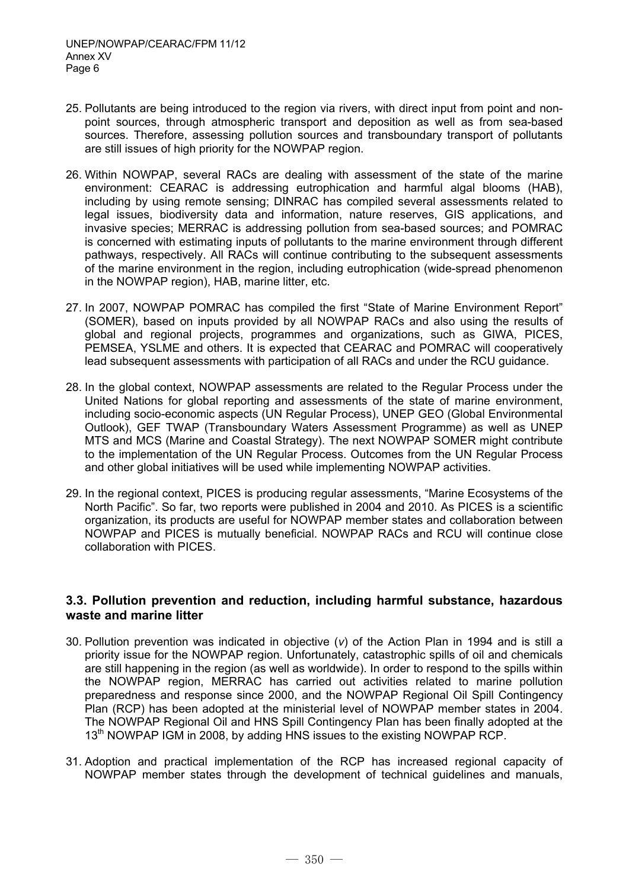- 25. Pollutants are being introduced to the region via rivers, with direct input from point and nonpoint sources, through atmospheric transport and deposition as well as from sea-based sources. Therefore, assessing pollution sources and transboundary transport of pollutants are still issues of high priority for the NOWPAP region.
- 26. Within NOWPAP, several RACs are dealing with assessment of the state of the marine environment: CEARAC is addressing eutrophication and harmful algal blooms (HAB), including by using remote sensing; DINRAC has compiled several assessments related to legal issues, biodiversity data and information, nature reserves, GIS applications, and invasive species; MERRAC is addressing pollution from sea-based sources; and POMRAC is concerned with estimating inputs of pollutants to the marine environment through different pathways, respectively. All RACs will continue contributing to the subsequent assessments of the marine environment in the region, including eutrophication (wide-spread phenomenon in the NOWPAP region), HAB, marine litter, etc.
- 27. In 2007, NOWPAP POMRAC has compiled the first "State of Marine Environment Report" (SOMER), based on inputs provided by all NOWPAP RACs and also using the results of global and regional projects, programmes and organizations, such as GIWA, PICES, PEMSEA, YSLME and others. It is expected that CEARAC and POMRAC will cooperatively lead subsequent assessments with participation of all RACs and under the RCU guidance.
- 28. In the global context, NOWPAP assessments are related to the Regular Process under the United Nations for global reporting and assessments of the state of marine environment, including socio-economic aspects (UN Regular Process), UNEP GEO (Global Environmental Outlook), GEF TWAP (Transboundary Waters Assessment Programme) as well as UNEP MTS and MCS (Marine and Coastal Strategy). The next NOWPAP SOMER might contribute to the implementation of the UN Regular Process. Outcomes from the UN Regular Process and other global initiatives will be used while implementing NOWPAP activities.
- 29. In the regional context, PICES is producing regular assessments, "Marine Ecosystems of the North Pacific". So far, two reports were published in 2004 and 2010. As PICES is a scientific organization, its products are useful for NOWPAP member states and collaboration between NOWPAP and PICES is mutually beneficial. NOWPAP RACs and RCU will continue close collaboration with PICES.

## **3.3. Pollution prevention and reduction, including harmful substance, hazardous waste and marine litter**

- 30. Pollution prevention was indicated in objective (*v*) of the Action Plan in 1994 and is still a priority issue for the NOWPAP region. Unfortunately, catastrophic spills of oil and chemicals are still happening in the region (as well as worldwide). In order to respond to the spills within the NOWPAP region, MERRAC has carried out activities related to marine pollution preparedness and response since 2000, and the NOWPAP Regional Oil Spill Contingency Plan (RCP) has been adopted at the ministerial level of NOWPAP member states in 2004. The NOWPAP Regional Oil and HNS Spill Contingency Plan has been finally adopted at the 13<sup>th</sup> NOWPAP IGM in 2008, by adding HNS issues to the existing NOWPAP RCP.
- 31. Adoption and practical implementation of the RCP has increased regional capacity of NOWPAP member states through the development of technical guidelines and manuals,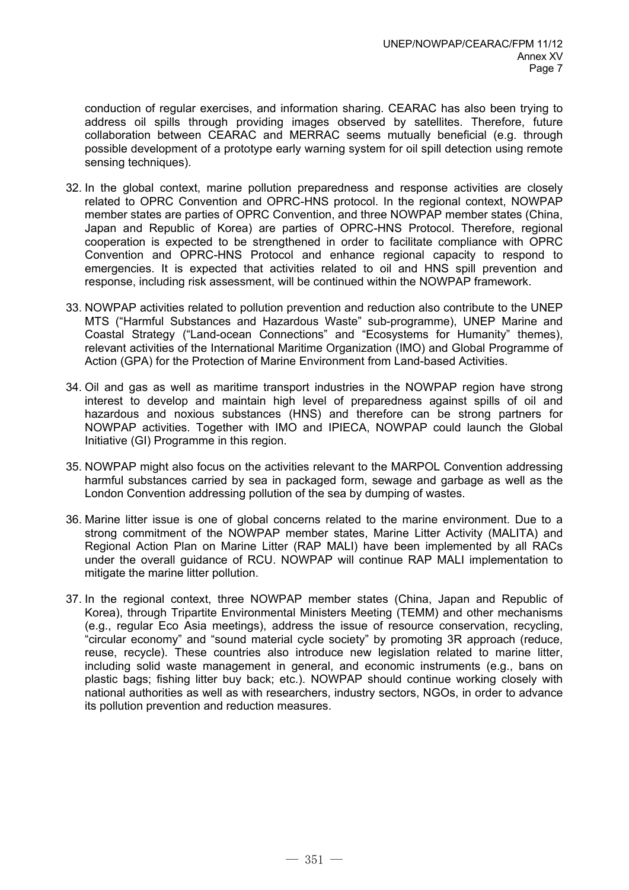conduction of regular exercises, and information sharing. CEARAC has also been trying to address oil spills through providing images observed by satellites. Therefore, future collaboration between CEARAC and MERRAC seems mutually beneficial (e.g. through possible development of a prototype early warning system for oil spill detection using remote sensing techniques).

- 32. In the global context, marine pollution preparedness and response activities are closely related to OPRC Convention and OPRC-HNS protocol. In the regional context, NOWPAP member states are parties of OPRC Convention, and three NOWPAP member states (China, Japan and Republic of Korea) are parties of OPRC-HNS Protocol. Therefore, regional cooperation is expected to be strengthened in order to facilitate compliance with OPRC Convention and OPRC-HNS Protocol and enhance regional capacity to respond to emergencies. It is expected that activities related to oil and HNS spill prevention and response, including risk assessment, will be continued within the NOWPAP framework.
- 33. NOWPAP activities related to pollution prevention and reduction also contribute to the UNEP MTS ("Harmful Substances and Hazardous Waste" sub-programme), UNEP Marine and Coastal Strategy ("Land-ocean Connections" and "Ecosystems for Humanity" themes), relevant activities of the International Maritime Organization (IMO) and Global Programme of Action (GPA) for the Protection of Marine Environment from Land-based Activities.
- 34. Oil and gas as well as maritime transport industries in the NOWPAP region have strong interest to develop and maintain high level of preparedness against spills of oil and hazardous and noxious substances (HNS) and therefore can be strong partners for NOWPAP activities. Together with IMO and IPIECA, NOWPAP could launch the Global Initiative (GI) Programme in this region.
- 35. NOWPAP might also focus on the activities relevant to the MARPOL Convention addressing harmful substances carried by sea in packaged form, sewage and garbage as well as the London Convention addressing pollution of the sea by dumping of wastes.
- 36. Marine litter issue is one of global concerns related to the marine environment. Due to a strong commitment of the NOWPAP member states, Marine Litter Activity (MALITA) and Regional Action Plan on Marine Litter (RAP MALI) have been implemented by all RACs under the overall guidance of RCU. NOWPAP will continue RAP MALI implementation to mitigate the marine litter pollution.
- 37. In the regional context, three NOWPAP member states (China, Japan and Republic of Korea), through Tripartite Environmental Ministers Meeting (TEMM) and other mechanisms (e.g., regular Eco Asia meetings), address the issue of resource conservation, recycling, "circular economy" and "sound material cycle society" by promoting 3R approach (reduce, reuse, recycle). These countries also introduce new legislation related to marine litter, including solid waste management in general, and economic instruments (e.g., bans on plastic bags; fishing litter buy back; etc.). NOWPAP should continue working closely with national authorities as well as with researchers, industry sectors, NGOs, in order to advance its pollution prevention and reduction measures.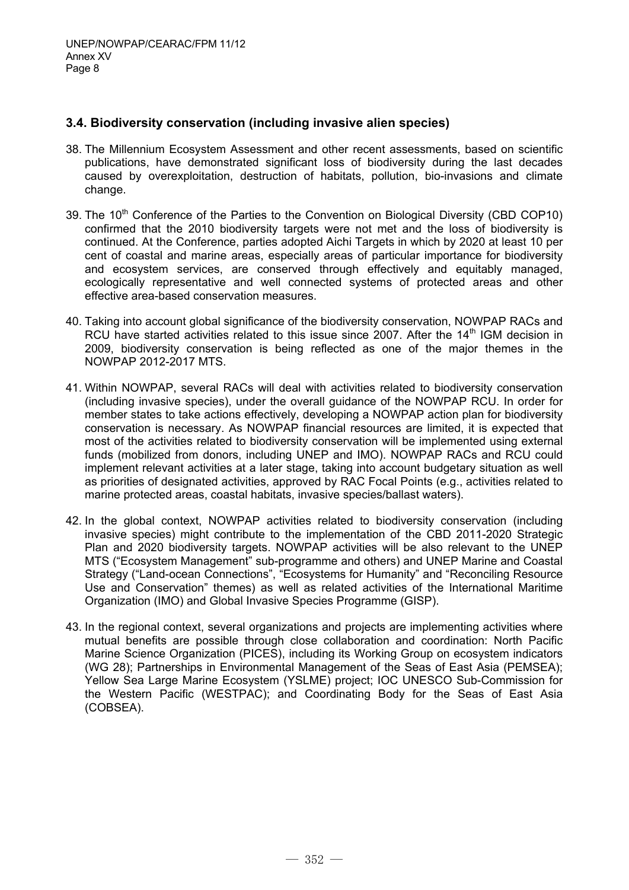### **3.4. Biodiversity conservation (including invasive alien species)**

- 38. The Millennium Ecosystem Assessment and other recent assessments, based on scientific publications, have demonstrated significant loss of biodiversity during the last decades caused by overexploitation, destruction of habitats, pollution, bio-invasions and climate change.
- 39. The 10<sup>th</sup> Conference of the Parties to the Convention on Biological Diversity (CBD COP10) confirmed that the 2010 biodiversity targets were not met and the loss of biodiversity is continued. At the Conference, parties adopted Aichi Targets in which by 2020 at least 10 per cent of coastal and marine areas, especially areas of particular importance for biodiversity and ecosystem services, are conserved through effectively and equitably managed, ecologically representative and well connected systems of protected areas and other effective area-based conservation measures.
- 40. Taking into account global significance of the biodiversity conservation, NOWPAP RACs and RCU have started activities related to this issue since 2007. After the  $14<sup>th</sup>$  IGM decision in 2009, biodiversity conservation is being reflected as one of the major themes in the NOWPAP 2012-2017 MTS.
- 41. Within NOWPAP, several RACs will deal with activities related to biodiversity conservation (including invasive species), under the overall guidance of the NOWPAP RCU. In order for member states to take actions effectively, developing a NOWPAP action plan for biodiversity conservation is necessary. As NOWPAP financial resources are limited, it is expected that most of the activities related to biodiversity conservation will be implemented using external funds (mobilized from donors, including UNEP and IMO). NOWPAP RACs and RCU could implement relevant activities at a later stage, taking into account budgetary situation as well as priorities of designated activities, approved by RAC Focal Points (e.g., activities related to marine protected areas, coastal habitats, invasive species/ballast waters).
- 42. In the global context, NOWPAP activities related to biodiversity conservation (including invasive species) might contribute to the implementation of the CBD 2011-2020 Strategic Plan and 2020 biodiversity targets. NOWPAP activities will be also relevant to the UNEP MTS ("Ecosystem Management" sub-programme and others) and UNEP Marine and Coastal Strategy ("Land-ocean Connections", "Ecosystems for Humanity" and "Reconciling Resource Use and Conservation" themes) as well as related activities of the International Maritime Organization (IMO) and Global Invasive Species Programme (GISP).
- 43. In the regional context, several organizations and projects are implementing activities where mutual benefits are possible through close collaboration and coordination: North Pacific Marine Science Organization (PICES), including its Working Group on ecosystem indicators (WG 28); Partnerships in Environmental Management of the Seas of East Asia (PEMSEA); Yellow Sea Large Marine Ecosystem (YSLME) project; IOC UNESCO Sub-Commission for the Western Pacific (WESTPAC); and Coordinating Body for the Seas of East Asia (COBSEA).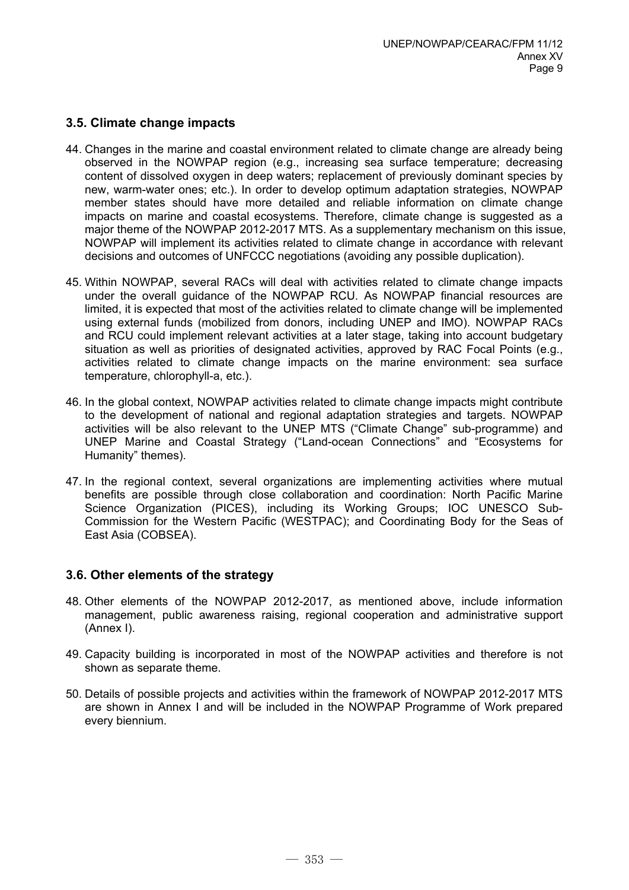## **3.5. Climate change impacts**

- 44. Changes in the marine and coastal environment related to climate change are already being observed in the NOWPAP region (e.g., increasing sea surface temperature; decreasing content of dissolved oxygen in deep waters; replacement of previously dominant species by new, warm-water ones; etc.). In order to develop optimum adaptation strategies, NOWPAP member states should have more detailed and reliable information on climate change impacts on marine and coastal ecosystems. Therefore, climate change is suggested as a major theme of the NOWPAP 2012-2017 MTS. As a supplementary mechanism on this issue, NOWPAP will implement its activities related to climate change in accordance with relevant decisions and outcomes of UNFCCC negotiations (avoiding any possible duplication).
- 45. Within NOWPAP, several RACs will deal with activities related to climate change impacts under the overall guidance of the NOWPAP RCU. As NOWPAP financial resources are limited, it is expected that most of the activities related to climate change will be implemented using external funds (mobilized from donors, including UNEP and IMO). NOWPAP RACs and RCU could implement relevant activities at a later stage, taking into account budgetary situation as well as priorities of designated activities, approved by RAC Focal Points (e.g., activities related to climate change impacts on the marine environment: sea surface temperature, chlorophyll-a, etc.).
- 46. In the global context, NOWPAP activities related to climate change impacts might contribute to the development of national and regional adaptation strategies and targets. NOWPAP activities will be also relevant to the UNEP MTS ("Climate Change" sub-programme) and UNEP Marine and Coastal Strategy ("Land-ocean Connections" and "Ecosystems for Humanity" themes).
- 47. In the regional context, several organizations are implementing activities where mutual benefits are possible through close collaboration and coordination: North Pacific Marine Science Organization (PICES), including its Working Groups; IOC UNESCO Sub-Commission for the Western Pacific (WESTPAC); and Coordinating Body for the Seas of East Asia (COBSEA).

### **3.6. Other elements of the strategy**

- 48. Other elements of the NOWPAP 2012-2017, as mentioned above, include information management, public awareness raising, regional cooperation and administrative support (Annex I).
- 49. Capacity building is incorporated in most of the NOWPAP activities and therefore is not shown as separate theme.
- 50. Details of possible projects and activities within the framework of NOWPAP 2012-2017 MTS are shown in Annex I and will be included in the NOWPAP Programme of Work prepared every biennium.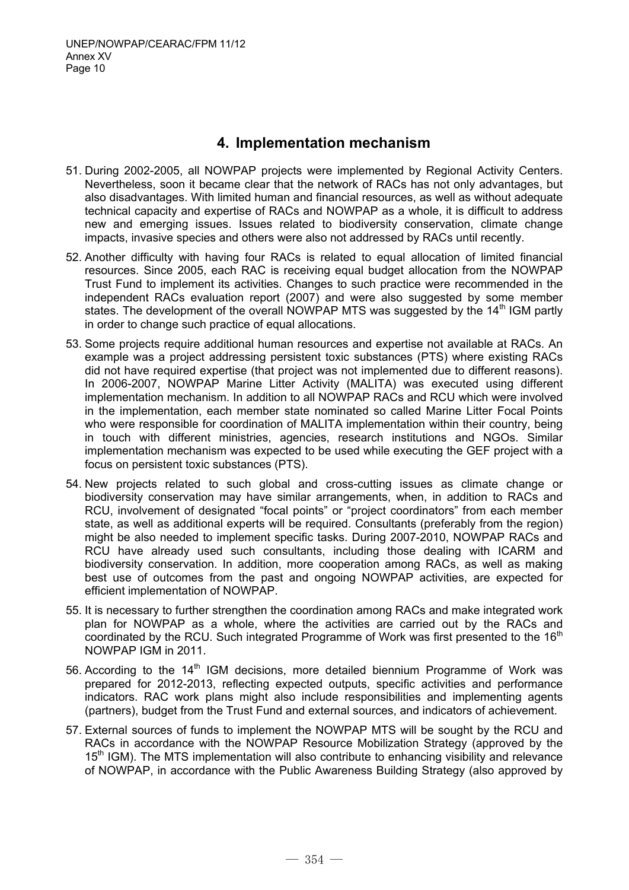# **4. Implementation mechanism**

- 51. During 2002-2005, all NOWPAP projects were implemented by Regional Activity Centers. Nevertheless, soon it became clear that the network of RACs has not only advantages, but also disadvantages. With limited human and financial resources, as well as without adequate technical capacity and expertise of RACs and NOWPAP as a whole, it is difficult to address new and emerging issues. Issues related to biodiversity conservation, climate change impacts, invasive species and others were also not addressed by RACs until recently.
- 52. Another difficulty with having four RACs is related to equal allocation of limited financial resources. Since 2005, each RAC is receiving equal budget allocation from the NOWPAP Trust Fund to implement its activities. Changes to such practice were recommended in the independent RACs evaluation report (2007) and were also suggested by some member states. The development of the overall NOWPAP MTS was suggested by the 14<sup>th</sup> IGM partly in order to change such practice of equal allocations.
- 53. Some projects require additional human resources and expertise not available at RACs. An example was a project addressing persistent toxic substances (PTS) where existing RACs did not have required expertise (that project was not implemented due to different reasons). In 2006-2007, NOWPAP Marine Litter Activity (MALITA) was executed using different implementation mechanism. In addition to all NOWPAP RACs and RCU which were involved in the implementation, each member state nominated so called Marine Litter Focal Points who were responsible for coordination of MALITA implementation within their country, being in touch with different ministries, agencies, research institutions and NGOs. Similar implementation mechanism was expected to be used while executing the GEF project with a focus on persistent toxic substances (PTS).
- 54. New projects related to such global and cross-cutting issues as climate change or biodiversity conservation may have similar arrangements, when, in addition to RACs and RCU, involvement of designated "focal points" or "project coordinators" from each member state, as well as additional experts will be required. Consultants (preferably from the region) might be also needed to implement specific tasks. During 2007-2010, NOWPAP RACs and RCU have already used such consultants, including those dealing with ICARM and biodiversity conservation. In addition, more cooperation among RACs, as well as making best use of outcomes from the past and ongoing NOWPAP activities, are expected for efficient implementation of NOWPAP.
- 55. It is necessary to further strengthen the coordination among RACs and make integrated work plan for NOWPAP as a whole, where the activities are carried out by the RACs and coordinated by the RCU. Such integrated Programme of Work was first presented to the 16<sup>th</sup> NOWPAP IGM in 2011.
- 56. According to the 14<sup>th</sup> IGM decisions, more detailed biennium Programme of Work was prepared for 2012-2013, reflecting expected outputs, specific activities and performance indicators. RAC work plans might also include responsibilities and implementing agents (partners), budget from the Trust Fund and external sources, and indicators of achievement.
- 57. External sources of funds to implement the NOWPAP MTS will be sought by the RCU and RACs in accordance with the NOWPAP Resource Mobilization Strategy (approved by the  $15<sup>th</sup>$  IGM). The MTS implementation will also contribute to enhancing visibility and relevance of NOWPAP, in accordance with the Public Awareness Building Strategy (also approved by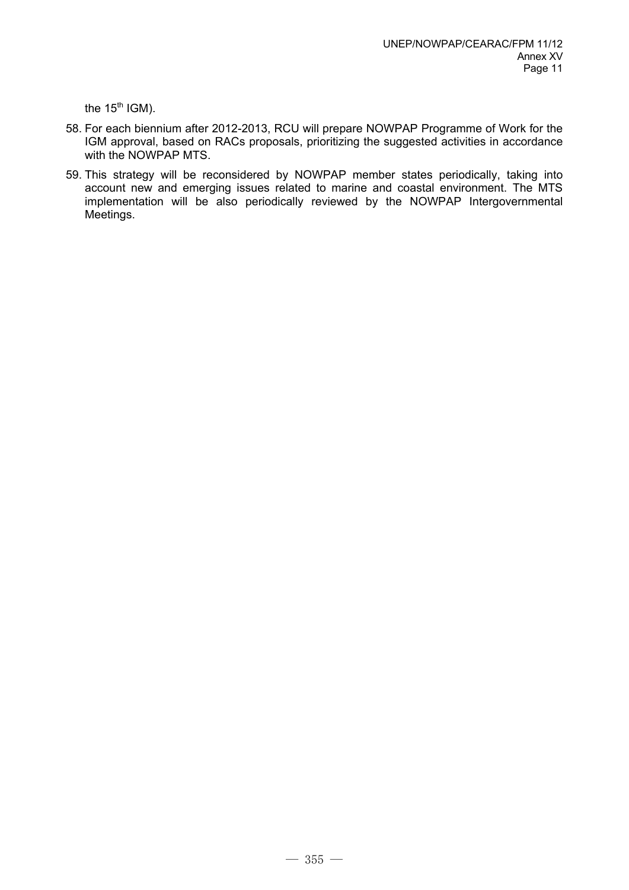the  $15<sup>th</sup>$  IGM).

- 58. For each biennium after 2012-2013, RCU will prepare NOWPAP Programme of Work for the IGM approval, based on RACs proposals, prioritizing the suggested activities in accordance with the NOWPAP MTS.
- 59. This strategy will be reconsidered by NOWPAP member states periodically, taking into account new and emerging issues related to marine and coastal environment. The MTS implementation will be also periodically reviewed by the NOWPAP Intergovernmental Meetings.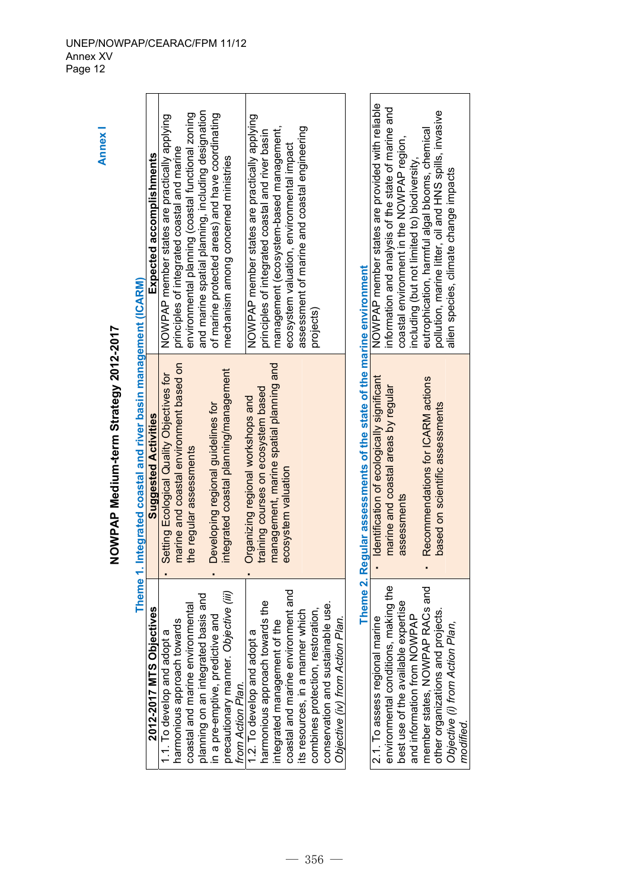|                                                            | NOWPAP Medium-term Strategy 2012-2017                               |                                                        |
|------------------------------------------------------------|---------------------------------------------------------------------|--------------------------------------------------------|
|                                                            | Theme 1. Integrated coastal and river basin management (ICARM)      |                                                        |
| 2012-2017 MTS Objectives                                   | <b>Suggested Activities</b>                                         | Expected accomplishments                               |
| 1.1. To develop and adopt a                                | Setting Ecological Quality Objectives for                           | NOWPAP member states are practically applying          |
| harmonious approach towards                                | marine and coastal environment based on                             | principles of integrated coastal and marine            |
| coastal and marine environmental                           | the regular assessments                                             | environmental planning (coastal functional zoning      |
| planning on an integrated basis and                        |                                                                     | and marine spatial planning, including designation     |
| in a pre-emptive, predictive and                           | Developing regional guidelines for                                  | of marine protected areas) and have coordinating       |
| precautionary manner. Objective (iii)<br>from Action Plan. | integrated coastal planning/management                              | mechanism among concerned ministries                   |
| 2. To develop and adopt a                                  | Organizing regional workshops and                                   | NOWPAP member states are practically applying          |
| harmonious approach towards the                            | training courses on ecosystem based                                 | principles of integrated coastal and river basin       |
| integrated management of the                               | management, marine spatial planning and                             | management (ecosystem-based management,                |
| coastal and marine environment and                         | ecosystem valuation                                                 | ecosystem valuation, environmental impact              |
| its resources, in a manner which                           |                                                                     | assessment of marine and coastal engineering           |
| combines protection, restoration                           |                                                                     | projects)                                              |
| conservation and sustainable use                           |                                                                     |                                                        |
| Objective (iv) from Action Plan.                           |                                                                     |                                                        |
|                                                            | Theme 2. Regular assessments of the state of the marine environment |                                                        |
| 2.1. To assess regional marine                             | Identification of ecologically significant                          | NOWPAP member states are provided with reliable        |
| environmental conditions, making the                       | marine and coastal areas by regular                                 | information and analysis of the state of marine and    |
| best use of the available expertise                        | assessments                                                         | coastal environment in the NOWPAP region,              |
| and information from NOWPAP                                |                                                                     | including (but not limited to) biodiversity,           |
| member states, NOWPAP RACs and                             | Recommendations for ICARM actions                                   | eutrophication, harmful algal blooms, chemical         |
| other organizations and projects.                          | based on scientific assessments                                     | pollution, marine litter, oil and HNS spills, invasive |
| Objective (i) from Action Plan,                            |                                                                     | alien species, climate change impacts                  |
| modified.                                                  |                                                                     |                                                        |

Annex I **Annex I** 

#### UNEP/NOWPAP/CEARAC/FPM 11/12 Annex XV Page 12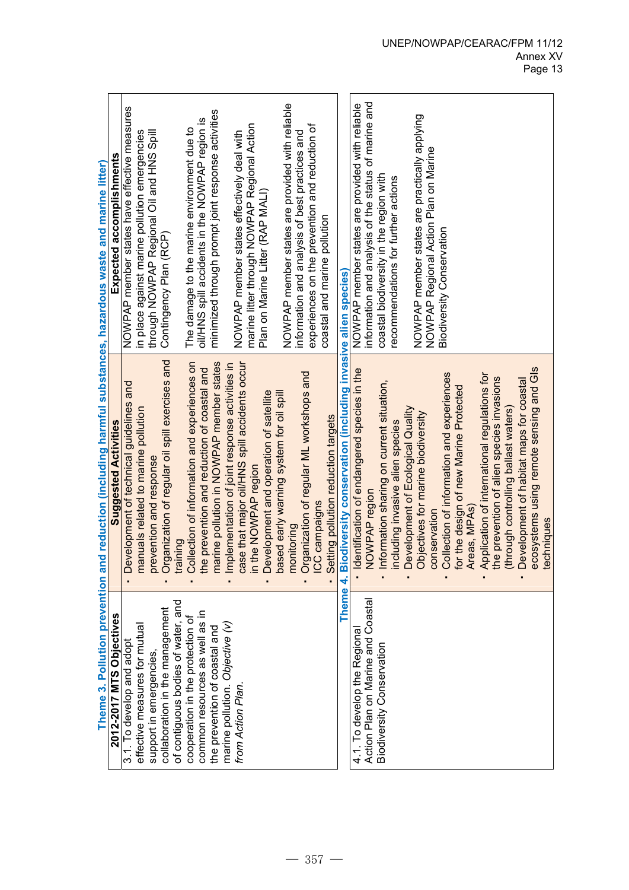|                                                                   | Theme 3. Pollution prevention and reduction (including harmful substances, hazardous waste and marine litter) |                                                                                                         |
|-------------------------------------------------------------------|---------------------------------------------------------------------------------------------------------------|---------------------------------------------------------------------------------------------------------|
| ives<br>2012-2017 MTS Objecti                                     | <b>Suggested Activities</b>                                                                                   | Expected accomplishments                                                                                |
| 3.1. To develop and adopt                                         | evelopment of technical guidelines and                                                                        | NOWPAP member states have effective measures                                                            |
| effective measures for mutual                                     | nanuals related to marine pollution<br>≍                                                                      | in place against marine pollution emergencies                                                           |
| support in emergencies                                            | prevention and response                                                                                       | through NOWPAP Regional Oil and HNS Spill                                                               |
| collaboration in the management                                   | Irganization of regular oil spill exercises and                                                               | Contingency Plan (RCP)                                                                                  |
| of contiguous bodies of water, and                                | training                                                                                                      |                                                                                                         |
| cooperation in the protection of                                  | Collection of information and experiences on                                                                  | The damage to the marine environment due to                                                             |
| common resources as well as in                                    | ne prevention and reduction of coastal and                                                                    | oil/HNS spill accidents in the NOWPAP region is                                                         |
| the prevention of coastal and                                     | narine pollution in NOWPAP member states                                                                      | minimized through prompt joint response activities                                                      |
| marine pollution. Objective (v)                                   | mplementation of joint response activities in                                                                 |                                                                                                         |
| from Action Plan.                                                 | case that major oil/HNS spill accidents occur                                                                 | NOWPAP member states effectively deal with                                                              |
|                                                                   | in the NOWPAP region                                                                                          | marine litter through NOWPAP Regional Action                                                            |
|                                                                   | evelopment and operation of satellite                                                                         | Plan on Marine Litter (RAP MALI)                                                                        |
|                                                                   | based early warning system for oil spill                                                                      |                                                                                                         |
|                                                                   | poritoring                                                                                                    | NOWPAP member states are provided with reliable                                                         |
|                                                                   | Organization of regular ML workshops and                                                                      | experiences on the prevention and reduction of<br>information and analysis of best practices and        |
|                                                                   | ICC campaigns                                                                                                 | coastal and marine pollution                                                                            |
|                                                                   | Setting pollution reduction targets                                                                           |                                                                                                         |
|                                                                   | Theme 4. Biodiversity conservation (including invasive alien species)                                         |                                                                                                         |
| Action Plan on Marine and Coastal<br>4.1. To develop the Regional | dentification of endangered species in the<br>NOWPAP region                                                   | information and analysis of the status of marine and<br>NOWPAP member states are provided with reliable |
|                                                                   |                                                                                                               |                                                                                                         |
| Biodiversity Conservation                                         | Information sharing on current situation,                                                                     | coastal biodiversity in the region with                                                                 |
|                                                                   | ncluding invasive alien species                                                                               | recommendations for further actions                                                                     |
|                                                                   | Development of Ecological Quality                                                                             |                                                                                                         |
|                                                                   | Objectives for marine biodiversity                                                                            | NOWPAP member states are practically applying                                                           |
|                                                                   | conservation                                                                                                  | NOWPAP Regional Action Plan on Marine                                                                   |
|                                                                   | Collection of information and experiences                                                                     | Biodiversity Conservation                                                                               |
|                                                                   | or the design of new Marine Protected                                                                         |                                                                                                         |
|                                                                   | Areas, MPAs)                                                                                                  |                                                                                                         |
|                                                                   | Application of international regulations for                                                                  |                                                                                                         |
|                                                                   | the prevention of alien species invasions                                                                     |                                                                                                         |
|                                                                   | (through controlling ballast waters)                                                                          |                                                                                                         |
|                                                                   | Development of habitat maps for coastal                                                                       |                                                                                                         |
|                                                                   | ecosystems using remote sensing and GIs                                                                       |                                                                                                         |
|                                                                   | echniques                                                                                                     |                                                                                                         |

#### UNEP/NOWPAP/CEARAC/FPM 11/12 Annex XV Page 13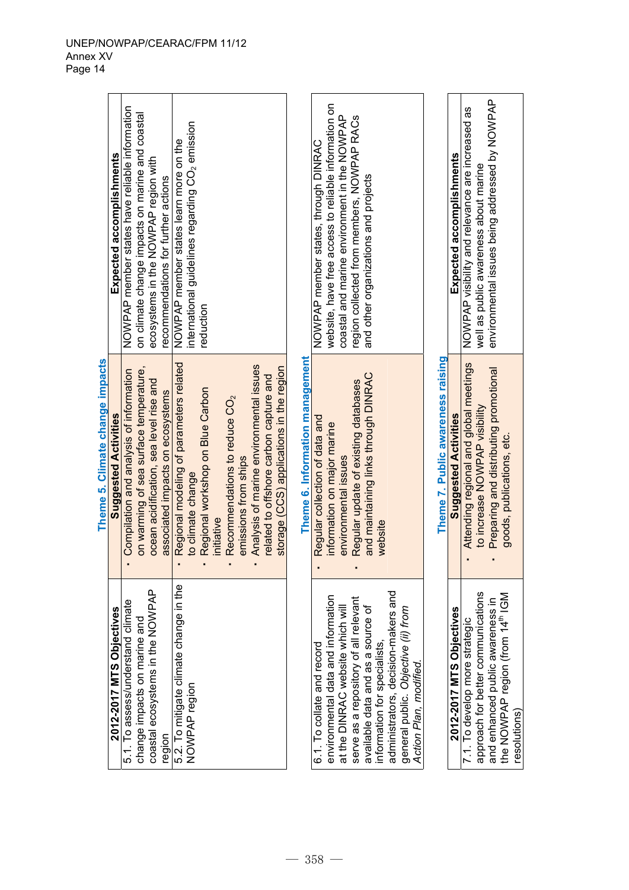|                                              | Theme 5. Climate change impacts          |                                                             |
|----------------------------------------------|------------------------------------------|-------------------------------------------------------------|
| 2012-2017 MTS Objectives                     | <b>Suggested Activities</b>              | Expected accomplishments                                    |
| 5.1. To assess/understand climate            | Compilation and analysis of information  | NOWPAP member states have reliable information              |
| change impacts on marine and                 | on warming of sea surface temperature,   | on climate change impacts on marine and coastal             |
| coastal ecosystems in the NOWPAP             | ocean acidification, sea level rise and  | ecosystems in the NOWPAP region with                        |
| region                                       | associated impacts on ecosystems         | recommendations for further actions                         |
| 5.2. To mitigate climate change in the       | Regional modeling of parameters related  | NOWPAP member states learn more on the                      |
| NOWPAP region                                | to climate change                        | international guidelines regarding CO <sub>2</sub> emission |
|                                              | Regional workshop on Blue Carbon         | reduction                                                   |
|                                              | initiative                               |                                                             |
|                                              | Recommendations to reduce $CO2$          |                                                             |
|                                              | emissions from ships                     |                                                             |
|                                              | Analysis of marine environmental issues  |                                                             |
|                                              | related to offshore carbon capture and   |                                                             |
|                                              | storage (CCS) applications in the region |                                                             |
|                                              | Theme 6. Information management          |                                                             |
| 6.1. To collate and record                   | Regular collection of data and           | NOWPAP member states, through DINRAC                        |
| environmental data and information           | information on major marine              | website, have free access to reliable information on        |
| at the DINRAC website which will             | environmental issues                     | coastal and marine environment in the NOWPAP                |
| serve as a repository of all relevant        | Regular update of existing databases     | region collected from members, NOWPAP RACs                  |
| available data and as a source of            | and maintaining links through DINRAC     | and other organizations and projects                        |
| information for specialists,                 | website                                  |                                                             |
| administrators, decision-makers and          |                                          |                                                             |
| general public. Objective (ii) from          |                                          |                                                             |
| Action Plan, modified.                       |                                          |                                                             |
|                                              | Theme 7. Public awareness raising        |                                                             |
| 2012-2017 MTS Objectives                     | <b>Suggested Activities</b>              | Expected accomplishments                                    |
| 7.1. To develop more strategic               | Attending regional and global meetings   | NOWPAP visibility and relevance are increased as            |
| approach for better communications           | to increase NOWPAP visibility            | well as public awareness about marine                       |
| and enhanced public awareness in             | Preparing and distributing promotional   | environmental issues being addressed by NOWPAP              |
| the NOWPAP region (from 14 <sup>th</sup> IGM | goods, publications, etc.                |                                                             |
| resolutions)                                 |                                          |                                                             |